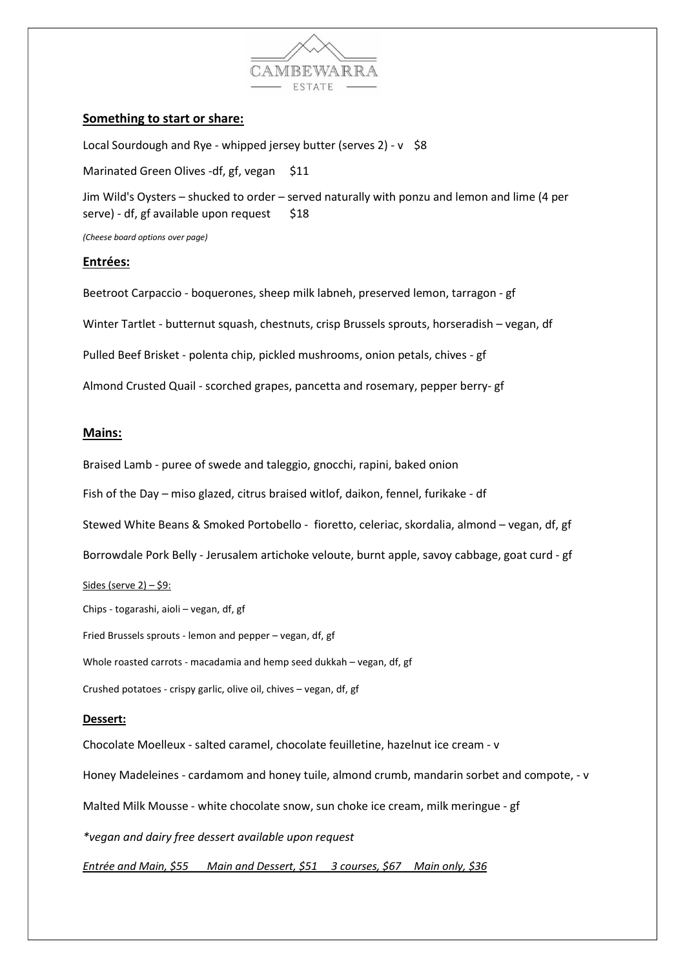

### Something to start or share:

Local Sourdough and Rye - whipped jersey butter (serves 2) - v \$8

Marinated Green Olives -df, gf, vegan \$11

Jim Wild's Oysters – shucked to order – served naturally with ponzu and lemon and lime (4 per serve) - df, gf available upon request  $$18$ 

(Cheese board options over page)

#### Entrées:

Beetroot Carpaccio - boquerones, sheep milk labneh, preserved lemon, tarragon - gf Winter Tartlet - butternut squash, chestnuts, crisp Brussels sprouts, horseradish – vegan, df Pulled Beef Brisket - polenta chip, pickled mushrooms, onion petals, chives - gf Almond Crusted Quail - scorched grapes, pancetta and rosemary, pepper berry- gf

#### Mains:

Braised Lamb - puree of swede and taleggio, gnocchi, rapini, baked onion

Fish of the Day – miso glazed, citrus braised witlof, daikon, fennel, furikake - df

Stewed White Beans & Smoked Portobello - fioretto, celeriac, skordalia, almond – vegan, df, gf

Borrowdale Pork Belly - Jerusalem artichoke veloute, burnt apple, savoy cabbage, goat curd - gf

#### Sides (serve  $2$ ) – \$9:

Chips - togarashi, aioli – vegan, df, gf Fried Brussels sprouts - lemon and pepper – vegan, df, gf Whole roasted carrots - macadamia and hemp seed dukkah – vegan, df, gf

Crushed potatoes - crispy garlic, olive oil, chives – vegan, df, gf

#### Dessert:

Chocolate Moelleux - salted caramel, chocolate feuilletine, hazelnut ice cream - v Honey Madeleines - cardamom and honey tuile, almond crumb, mandarin sorbet and compote, - v Malted Milk Mousse - white chocolate snow, sun choke ice cream, milk meringue - gf \*vegan and dairy free dessert available upon request Entrée and Main, \$55 Main and Dessert, \$51 3 courses, \$67 Main only, \$36